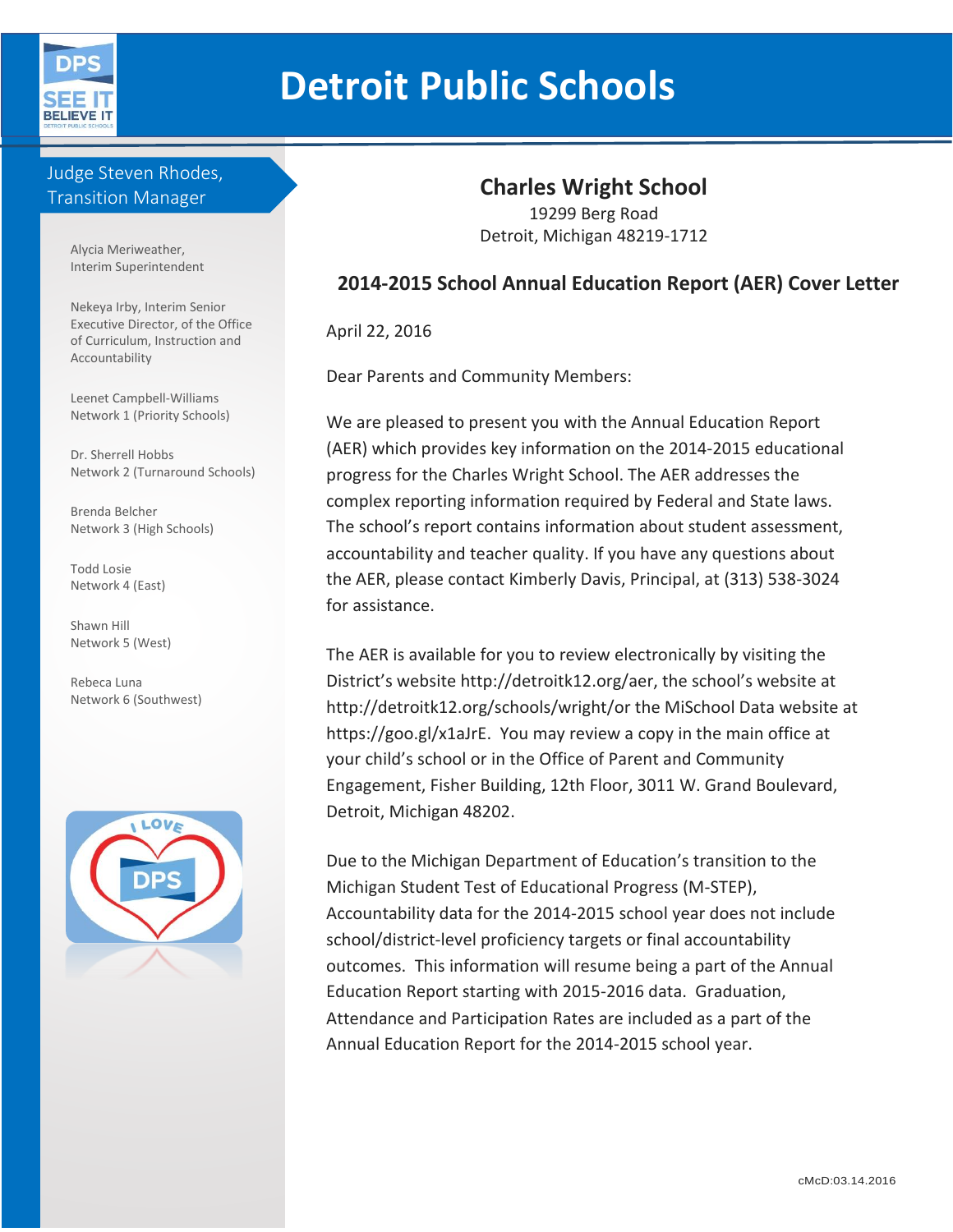

# **Detroit Public Schools**

## Judge Steven Rhodes, Transition Manager

Alycia Meriweather, Interim Superintendent

Nekeya Irby, Interim Senior Executive Director, of the Office of Curriculum, Instruction and Accountability

Leenet Campbell-Williams Network 1 (Priority Schools)

Dr. Sherrell Hobbs Network 2 (Turnaround Schools)

Brenda Belcher Network 3 (High Schools)

Todd Losie Network 4 (East)

Shawn Hill Network 5 (West)

Rebeca Luna Network 6 (Southwest)



## **Charles Wright School**

19299 Berg Road Detroit, Michigan 48219-1712

## **2014-2015 School Annual Education Report (AER) Cover Letter**

April 22, 2016

Dear Parents and Community Members:

We are pleased to present you with the Annual Education Report (AER) which provides key information on the 2014-2015 educational progress for the Charles Wright School. The AER addresses the complex reporting information required by Federal and State laws. The school's report contains information about student assessment, accountability and teacher quality. If you have any questions about the AER, please contact Kimberly Davis, Principal, at (313) 538-3024 for assistance.

The AER is available for you to review electronically by visiting the District's website http://detroitk12.org/aer, the school's website at http://detroitk12.org/schools/wright/or the MiSchool Data website at https://goo.gl/x1aJrE. You may review a copy in the main office at your child's school or in the Office of Parent and Community Engagement, Fisher Building, 12th Floor, 3011 W. Grand Boulevard, Detroit, Michigan 48202.

Due to the Michigan Department of Education's transition to the Michigan Student Test of Educational Progress (M-STEP), Accountability data for the 2014-2015 school year does not include school/district-level proficiency targets or final accountability outcomes. This information will resume being a part of the Annual Education Report starting with 2015-2016 data. Graduation, Attendance and Participation Rates are included as a part of the Annual Education Report for the 2014-2015 school year.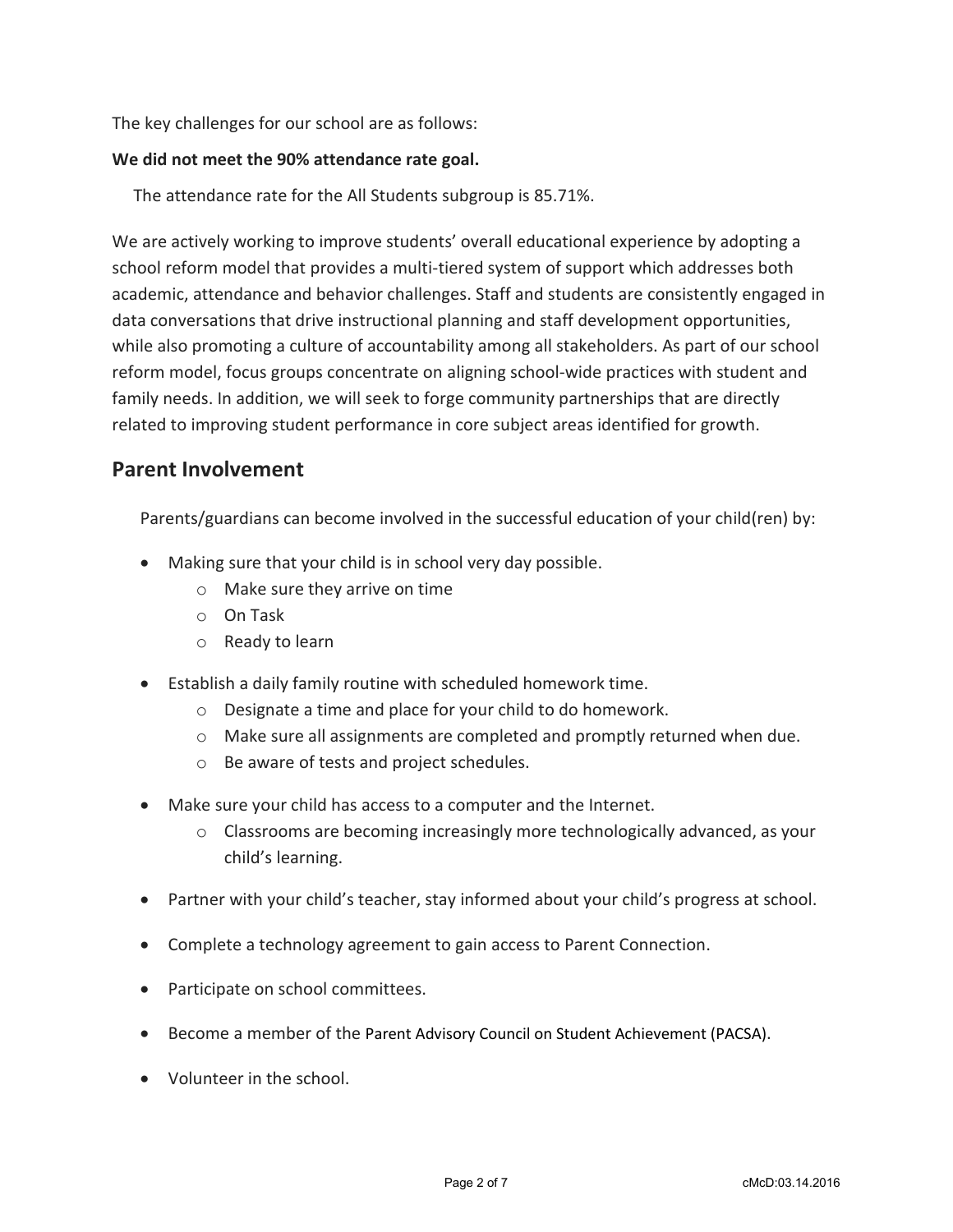The key challenges for our school are as follows:

#### **We did not meet the 90% attendance rate goal.**

The attendance rate for the All Students subgroup is 85.71%.

We are actively working to improve students' overall educational experience by adopting a school reform model that provides a multi-tiered system of support which addresses both academic, attendance and behavior challenges. Staff and students are consistently engaged in data conversations that drive instructional planning and staff development opportunities, while also promoting a culture of accountability among all stakeholders. As part of our school reform model, focus groups concentrate on aligning school-wide practices with student and family needs. In addition, we will seek to forge community partnerships that are directly related to improving student performance in core subject areas identified for growth.

## **Parent Involvement**

Parents/guardians can become involved in the successful education of your child(ren) by:

- Making sure that your child is in school very day possible.
	- o Make sure they arrive on time
	- o On Task
	- o Ready to learn
- Establish a daily family routine with scheduled homework time.
	- o Designate a time and place for your child to do homework.
	- $\circ$  Make sure all assignments are completed and promptly returned when due.
	- o Be aware of tests and project schedules.
- Make sure your child has access to a computer and the Internet.
	- $\circ$  Classrooms are becoming increasingly more technologically advanced, as your child's learning.
- Partner with your child's teacher, stay informed about your child's progress at school.
- Complete a technology agreement to gain access to Parent Connection.
- Participate on school committees.
- Become a member of the Parent Advisory Council on Student Achievement (PACSA).
- Volunteer in the school.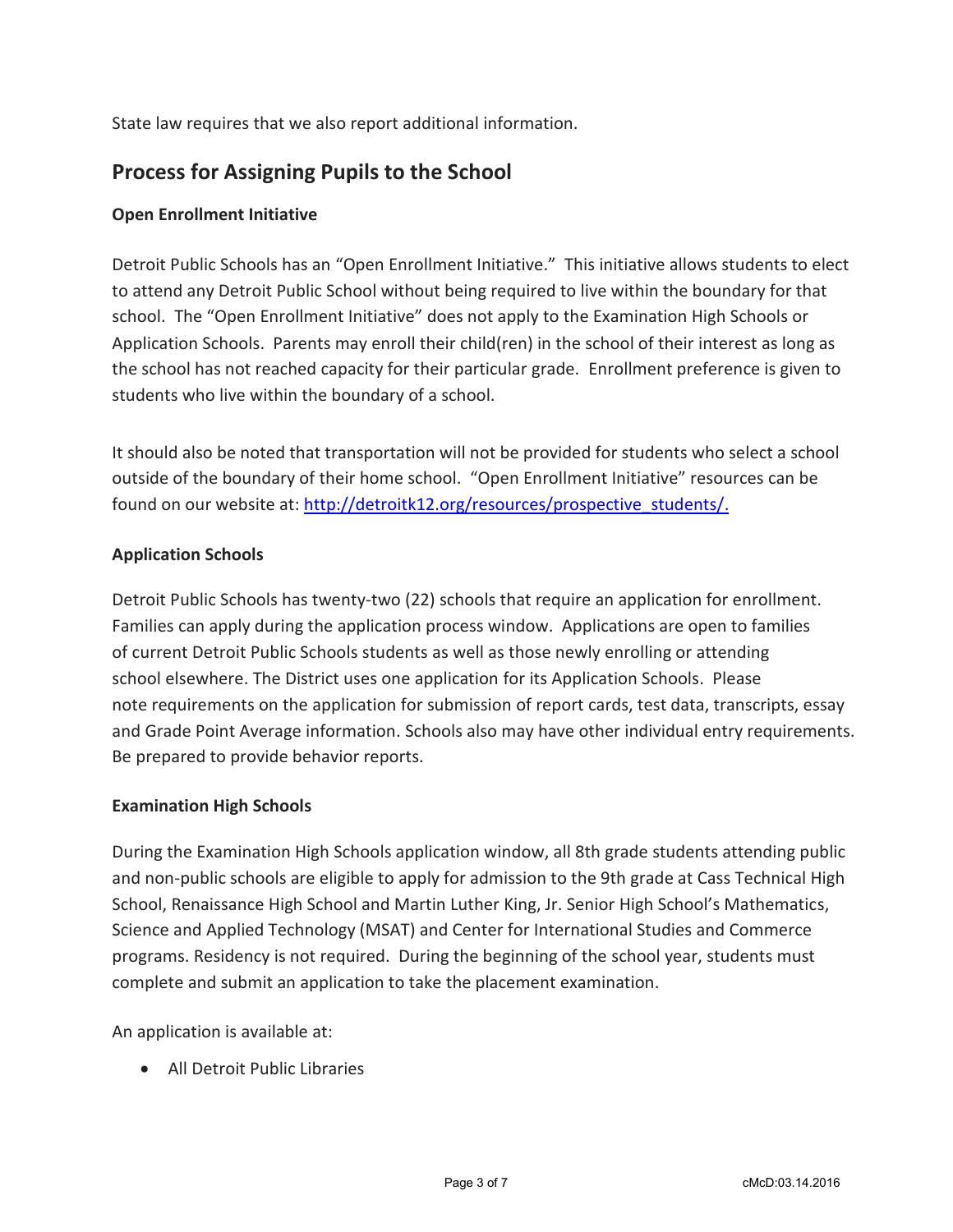State law requires that we also report additional information.

# **Process for Assigning Pupils to the School**

#### **Open Enrollment Initiative**

Detroit Public Schools has an "Open Enrollment Initiative." This initiative allows students to elect to attend any Detroit Public School without being required to live within the boundary for that school. The "Open Enrollment Initiative" does not apply to the Examination High Schools or Application Schools. Parents may enroll their child(ren) in the school of their interest as long as the school has not reached capacity for their particular grade. Enrollment preference is given to students who live within the boundary of a school.

It should also be noted that transportation will not be provided for students who select a school outside of the boundary of their home school. "Open Enrollment Initiative" resources can be found on our website at: [http://detroitk12.org/resources/prospective\\_students/.](http://detroitk12.org/resources/prospective_students/)

#### **Application Schools**

Detroit Public Schools has twenty-two (22) schools that require an application for enrollment. Families can apply during the application process window. Applications are open to families of current Detroit Public Schools students as well as those newly enrolling or attending school elsewhere. The District uses one application for its Application Schools. Please note requirements on the application for submission of report cards, test data, transcripts, essay and Grade Point Average information. Schools also may have other individual entry requirements. Be prepared to provide behavior reports.

#### **Examination High Schools**

During the Examination High Schools application window, all 8th grade students attending public and non-public schools are eligible to apply for admission to the 9th grade at Cass Technical High School, Renaissance High School and Martin Luther King, Jr. Senior High School's Mathematics, Science and Applied Technology (MSAT) and Center for International Studies and Commerce programs. Residency is not required. During the beginning of the school year, students must complete and submit an application to take the placement examination.

An application is available at:

All Detroit Public Libraries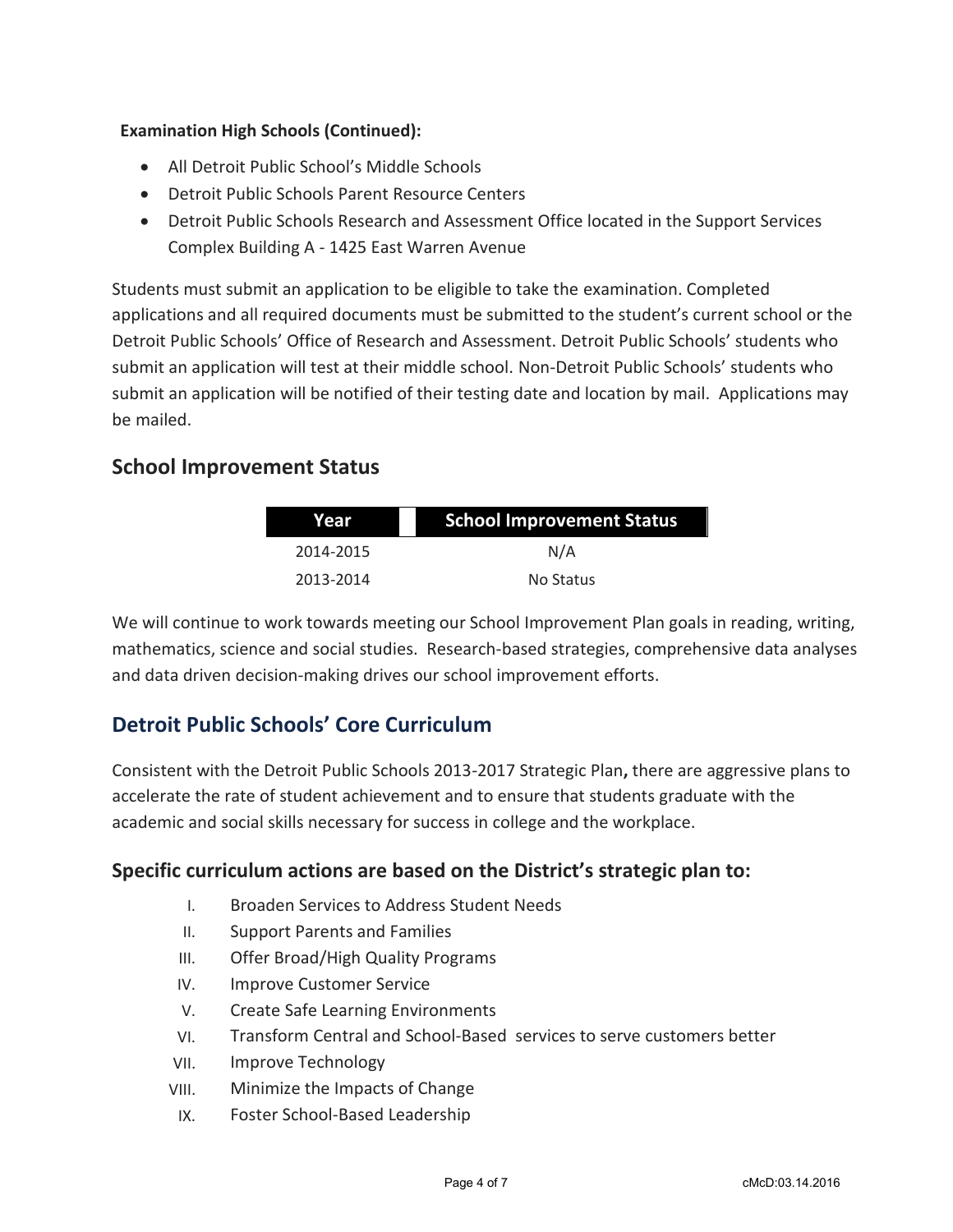#### **Examination High Schools (Continued):**

- All Detroit Public School's Middle Schools
- Detroit Public Schools Parent Resource Centers
- Detroit Public Schools Research and Assessment Office located in the Support Services Complex Building A - 1425 East Warren Avenue

Students must submit an application to be eligible to take the examination. Completed applications and all required documents must be submitted to the student's current school or the Detroit Public Schools' Office of Research and Assessment. Detroit Public Schools' students who submit an application will test at their middle school. Non-Detroit Public Schools' students who submit an application will be notified of their testing date and location by mail. Applications may be mailed.

## **School Improvement Status**

| Year      | <b>School Improvement Status</b> |  |
|-----------|----------------------------------|--|
| 2014-2015 | N/A                              |  |
| 2013-2014 | No Status                        |  |

We will continue to work towards meeting our School Improvement Plan goals in reading, writing, mathematics, science and social studies. Research-based strategies, comprehensive data analyses and data driven decision-making drives our school improvement efforts.

# **Detroit Public Schools' Core Curriculum**

Consistent with the Detroit Public Schools 2013-2017 Strategic Plan**,** there are aggressive plans to accelerate the rate of student achievement and to ensure that students graduate with the academic and social skills necessary for success in college and the workplace.

## **Specific curriculum actions are based on the District's strategic plan to:**

- I. Broaden Services to Address Student Needs
- II. Support Parents and Families
- III. Offer Broad/High Quality Programs
- IV. Improve Customer Service
- V. Create Safe Learning Environments
- VI. Transform Central and School-Based services to serve customers better
- VII. Improve Technology
- VIII. Minimize the Impacts of Change
- IX. Foster School-Based Leadership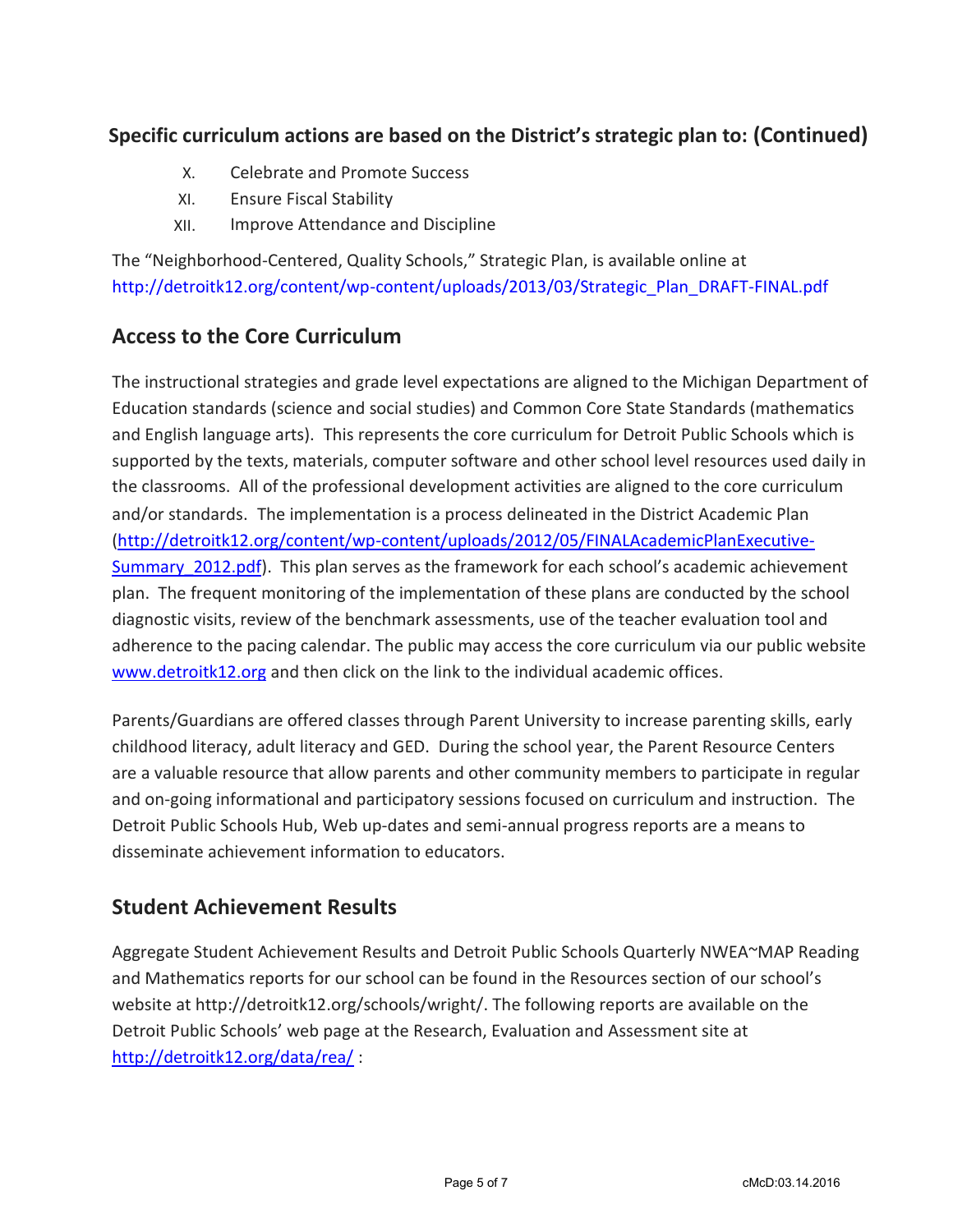# **Specific curriculum actions are based on the District's strategic plan to: (Continued)**

- X. Celebrate and Promote Success
- XI. Ensure Fiscal Stability
- XII. Improve Attendance and Discipline

The "Neighborhood-Centered, Quality Schools," Strategic Plan, is available online at [http://detroitk12.org/content/wp-content/uploads/2013/03/Strategic\\_Plan\\_DRAFT-FINAL.pdf](http://detroitk12.org/content/wp-content/uploads/2013/03/Strategic_Plan_DRAFT-FINAL.pdf)

## **Access to the Core Curriculum**

The instructional strategies and grade level expectations are aligned to the Michigan Department of Education standards (science and social studies) and Common Core State Standards (mathematics and English language arts). This represents the core curriculum for Detroit Public Schools which is supported by the texts, materials, computer software and other school level resources used daily in the classrooms. All of the professional development activities are aligned to the core curriculum and/or standards. The implementation is a process delineated in the District Academic Plan [\(http://detroitk12.org/content/wp-content/uploads/2012/05/FINALAcademicPlanExecutive-](http://detroitk12.org/content/wp-content/uploads/2012/05/FINALAcademicPlanExecutive-Summary_2012.pdf)Summary 2012.pdf). This plan serves as the framework for each school's academic achievement plan. The frequent monitoring of the implementation of these plans are conducted by the school diagnostic visits, review of the benchmark assessments, use of the teacher evaluation tool and adherence to the pacing calendar. The public may access the core curriculum via our public website [www.detroitk12.org](http://www.detroitk12.org/) and then click on the link to the individual academic offices.

Parents/Guardians are offered classes through Parent University to increase parenting skills, early childhood literacy, adult literacy and GED. During the school year, the Parent Resource Centers are a valuable resource that allow parents and other community members to participate in regular and on-going informational and participatory sessions focused on curriculum and instruction. The Detroit Public Schools Hub, Web up-dates and semi-annual progress reports are a means to disseminate achievement information to educators.

## **Student Achievement Results**

Aggregate Student Achievement Results and Detroit Public Schools Quarterly NWEA~MAP Reading and Mathematics reports for our school can be found in the Resources section of our school's website at http://detroitk12.org/schools/wright/. The following reports are available on the Detroit Public Schools' web page at the Research, Evaluation and Assessment site at <http://detroitk12.org/data/rea/> :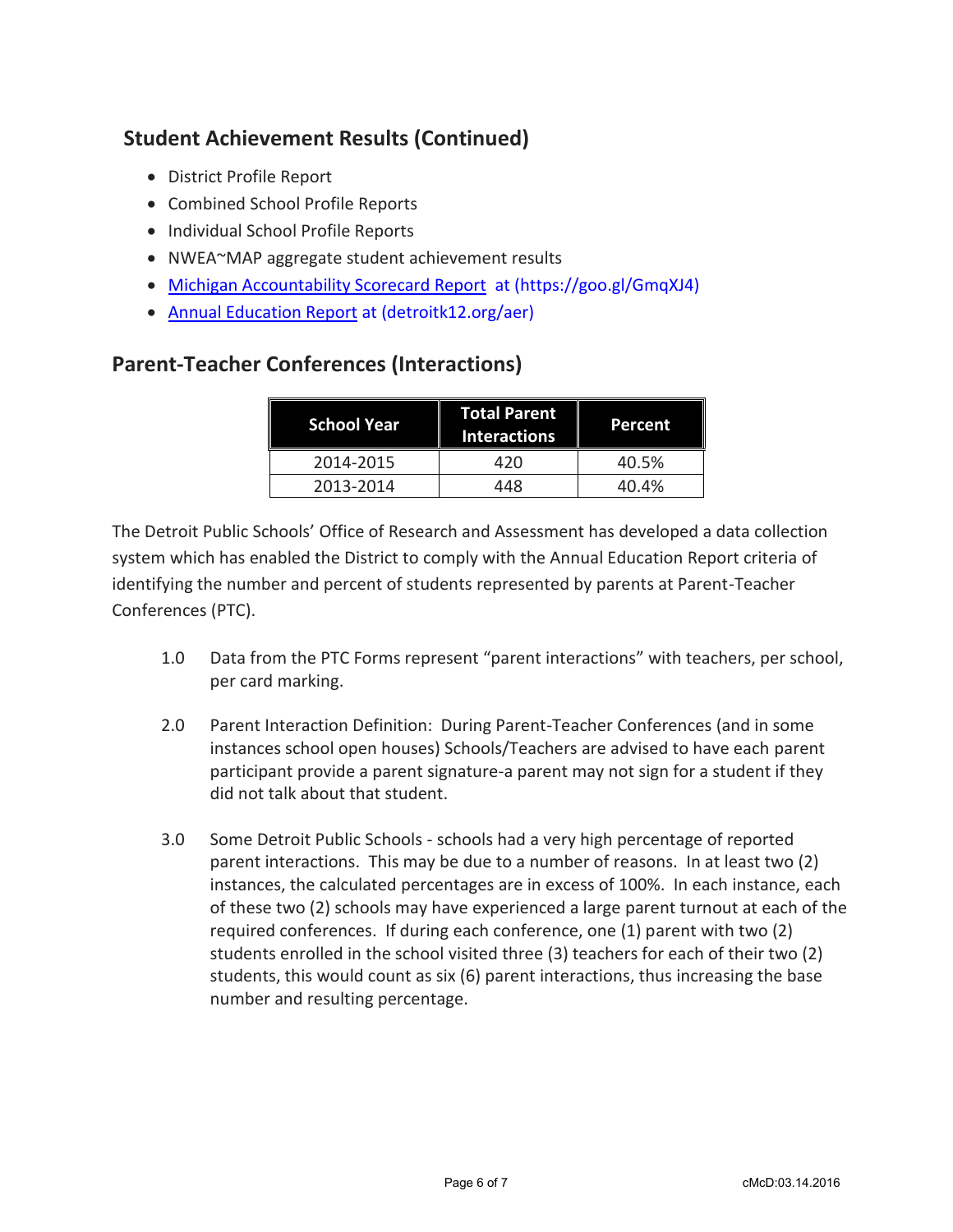# **Student Achievement Results (Continued)**

- District Profile Report
- Combined School Profile Reports
- Individual School Profile Reports
- NWEA~MAP aggregate student achievement results
- [Michigan Accountability Scorecard Report](https://goo.gl/GmqXJ4) at (https://goo.gl/GmqXJ4)
- [Annual Education Report](http://detroitk12.org/aer) at (detroitk12.org/aer)

## **Parent-Teacher Conferences (Interactions)**

| <b>School Year</b> | <b>Total Parent</b><br><b>Interactions</b> | Percent |
|--------------------|--------------------------------------------|---------|
| 2014-2015          | 420                                        | 40.5%   |
| 2013-2014          | 448                                        | 40.4%   |

The Detroit Public Schools' Office of Research and Assessment has developed a data collection system which has enabled the District to comply with the Annual Education Report criteria of identifying the number and percent of students represented by parents at Parent-Teacher Conferences (PTC).

- 1.0 Data from the PTC Forms represent "parent interactions" with teachers, per school, per card marking.
- 2.0 Parent Interaction Definition: During Parent-Teacher Conferences (and in some instances school open houses) Schools/Teachers are advised to have each parent participant provide a parent signature-a parent may not sign for a student if they did not talk about that student.
- 3.0 Some Detroit Public Schools schools had a very high percentage of reported parent interactions. This may be due to a number of reasons. In at least two (2) instances, the calculated percentages are in excess of 100%. In each instance, each of these two (2) schools may have experienced a large parent turnout at each of the required conferences. If during each conference, one (1) parent with two (2) students enrolled in the school visited three (3) teachers for each of their two (2) students, this would count as six (6) parent interactions, thus increasing the base number and resulting percentage.